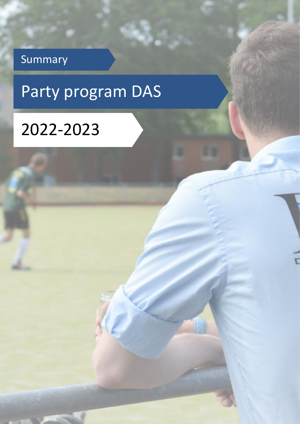### Summary

# Party program DAS

Ľ

## 2022-2023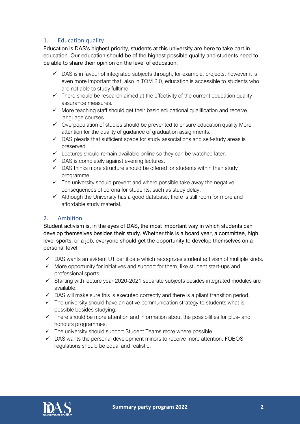#### 1. Education quality

Education is DAS's highest priority, students at this university are here to take part in education. Our education should be of the highest possible quality and students need to be able to share their opinion on the level of education.

- $\checkmark$  DAS is in favour of integrated subjects through, for example, projects, however it is even more important that, also in TOM 2.0, education is accessible to students who are not able to study fulltime.
- $\checkmark$  There should be research aimed at the effectivity of the current education quality assurance measures.
- ✓ More teaching staff should get their basic educational qualification and receive language courses.
- $\checkmark$  Overpopulation of studies should be prevented to ensure education quality More attention for the quality of guidance of graduation assignments.
- $\checkmark$  DAS pleads that sufficient space for study associations and self-study areas is preserved.
- $\checkmark$  Lectures should remain available online so they can be watched later.
- $\checkmark$  DAS is completely against evening lectures.
- $\checkmark$  DAS thinks more structure should be offered for students within their study programme.
- $\checkmark$  The university should prevent and where possible take away the negative consequences of corona for students, such as study delay.
- $\checkmark$  Although the University has a good database, there is still room for more and affordable study material.

#### 2. Ambition

Student activism is, in the eyes of DAS, the most important way in which students can develop themselves besides their study. Whether this is a board year, a committee, high level sports, or a job, everyone should get the opportunity to develop themselves on a personal level.

- $\checkmark$  DAS wants an evident UT certificate which recognizes student activism of multiple kinds.
- $\checkmark$  More opportunity for initiatives and support for them, like student start-ups and professional sports.
- ✓ Starting with lecture year 2020-2021 separate subjects besides integrated modules are available.
- $\checkmark$  DAS will make sure this is executed correctly and there is a pliant transition period.
- $\checkmark$  The university should have an active communication strategy to students what is possible besides studying.
- $\checkmark$  There should be more attention and information about the possibilities for plus- and honours programmes.
- $\checkmark$  The university should support Student Teams more where possible.
- $\checkmark$  DAS wants the personal development minors to receive more attention. FOBOS regulations should be equal and realistic.

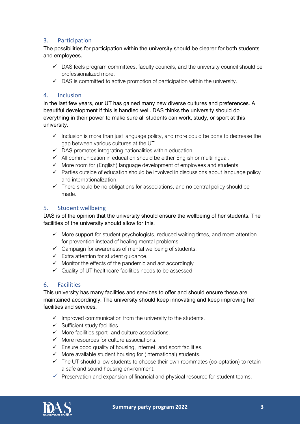#### 3. Participation

The possibilities for participation within the university should be clearer for both students and employees.

- $\checkmark$  DAS feels program committees, faculty councils, and the university council should be professionalized more.
- $\checkmark$  DAS is committed to active promotion of participation within the university.

#### 4. Inclusion

In the last few years, our UT has gained many new diverse cultures and preferences. A beautiful development if this is handled well. DAS thinks the university should do everything in their power to make sure all students can work, study, or sport at this university.

- $\checkmark$  Inclusion is more than just language policy, and more could be done to decrease the gap between various cultures at the UT.
- $\checkmark$  DAS promotes integrating nationalities within education.
- ✓ All communication in education should be either English or multilingual.
- ✓ More room for (English) language development of employees and students.
- $\checkmark$  Parties outside of education should be involved in discussions about language policy and internationalization.
- $\checkmark$  There should be no obligations for associations, and no central policy should be made.

#### 5. Student wellbeing

DAS is of the opinion that the university should ensure the wellbeing of her students. The facilities of the university should allow for this.

- $\checkmark$  More support for student psychologists, reduced waiting times, and more attention for prevention instead of healing mental problems.
- $\checkmark$  Campaign for awareness of mental wellbeing of students.
- $\checkmark$  Extra attention for student quidance.
- $\checkmark$  Monitor the effects of the pandemic and act accordingly
- $\checkmark$  Quality of UT healthcare facilities needs to be assessed

#### 6. Facilities

This university has many facilities and services to offer and should ensure these are maintained accordingly. The university should keep innovating and keep improving her facilities and services.

- $\checkmark$  Improved communication from the university to the students.
- $\checkmark$  Sufficient study facilities.
- $\checkmark$  More facilities sport- and culture associations.
- ✓ More resources for culture associations.
- $\checkmark$  Ensure good quality of housing, internet, and sport facilities.
- $\checkmark$  More available student housing for (international) students.
- $\checkmark$  The UT should allow students to choose their own roommates (co-optation) to retain a safe and sound housing environment.
- $\checkmark$  Preservation and expansion of financial and physical resource for student teams.